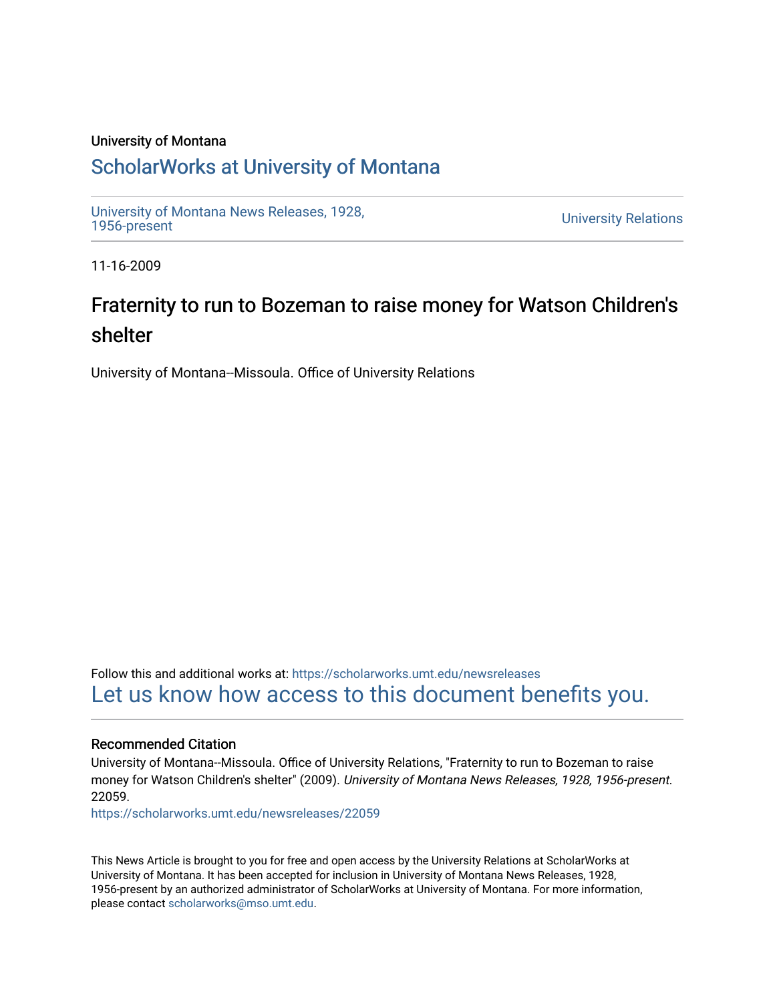#### University of Montana

### [ScholarWorks at University of Montana](https://scholarworks.umt.edu/)

[University of Montana News Releases, 1928,](https://scholarworks.umt.edu/newsreleases) 

**University Relations** 

11-16-2009

# Fraternity to run to Bozeman to raise money for Watson Children's shelter

University of Montana--Missoula. Office of University Relations

Follow this and additional works at: [https://scholarworks.umt.edu/newsreleases](https://scholarworks.umt.edu/newsreleases?utm_source=scholarworks.umt.edu%2Fnewsreleases%2F22059&utm_medium=PDF&utm_campaign=PDFCoverPages) [Let us know how access to this document benefits you.](https://goo.gl/forms/s2rGfXOLzz71qgsB2) 

#### Recommended Citation

University of Montana--Missoula. Office of University Relations, "Fraternity to run to Bozeman to raise money for Watson Children's shelter" (2009). University of Montana News Releases, 1928, 1956-present. 22059.

[https://scholarworks.umt.edu/newsreleases/22059](https://scholarworks.umt.edu/newsreleases/22059?utm_source=scholarworks.umt.edu%2Fnewsreleases%2F22059&utm_medium=PDF&utm_campaign=PDFCoverPages) 

This News Article is brought to you for free and open access by the University Relations at ScholarWorks at University of Montana. It has been accepted for inclusion in University of Montana News Releases, 1928, 1956-present by an authorized administrator of ScholarWorks at University of Montana. For more information, please contact [scholarworks@mso.umt.edu.](mailto:scholarworks@mso.umt.edu)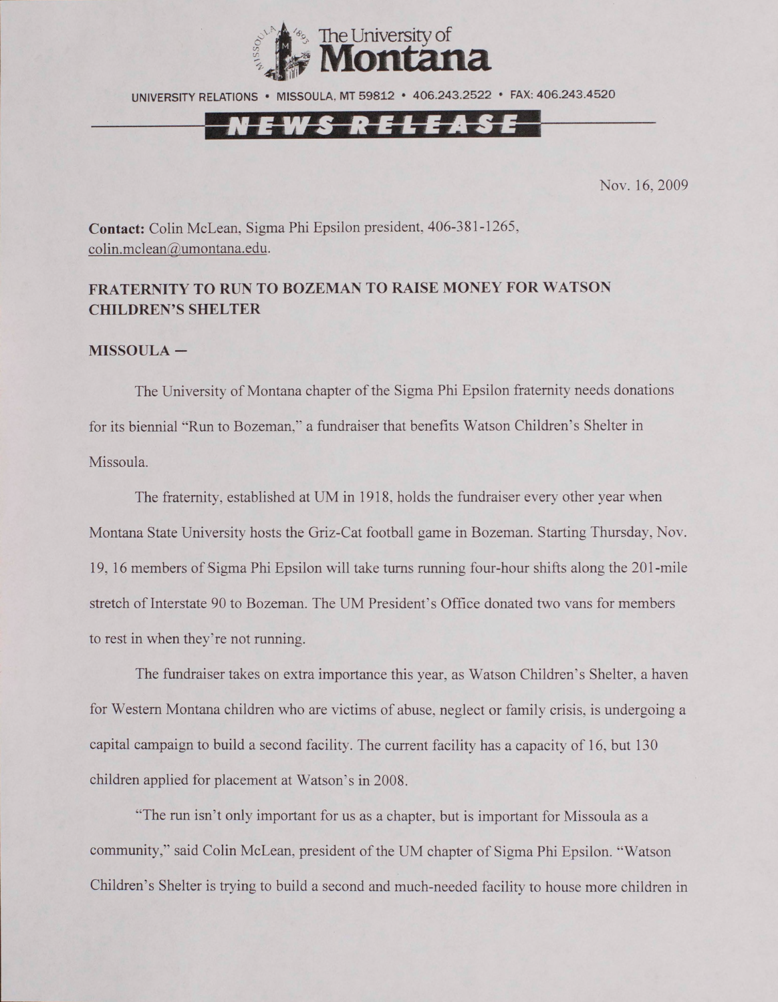

UNIVERSITY RELATIONS • MISSOULA. MT 59812 • 406.243.2522 • FAX: 406.243.4520

## N <del>e w s r e l e a s e</del>

Nov. 16, 2009

**Contact:** Colin McLean, Sigma Phi Epsilon president, 406-381-1265, [colin.mclean@umontana.edu.](mailto:colin.mclean@umontana.edu)

### **FRATERNITY TO RUN TO BOZEMAN TO RAISE MONEY FOR WATSON CHILDREN'S SHELTER**

#### **MISSOULA -**

The University of Montana chapter of the Sigma Phi Epsilon fraternity needs donations for its biennial ''Run to Bozeman," a fundraiser that benefits Watson Children's Shelter in Missoula.

The fraternity, established at UM in 1918, holds the fundraiser every other year when Montana State University hosts the Griz-Cat football game in Bozeman. Starting Thursday, Nov. 19, 16 members of Sigma Phi Epsilon will take turns running four-hour shifts along the 201-mile stretch of Interstate 90 to Bozeman. The UM President's Office donated two vans for members to rest in when they're not running.

The fundraiser takes on extra importance this year, as Watson Children's Shelter, a haven for Western Montana children who are victims of abuse, neglect or family crisis, is undergoing a capital campaign to build a second facility. The current facility has a capacity of 16, but 130 children applied for placement at Watson's in 2008.

"The run isn't only important for us as a chapter, but is important for Missoula as a community," said Colin McLean, president of the UM chapter of Sigma Phi Epsilon. "Watson Children's Shelter is trying to build a second and much-needed facility to house more children in